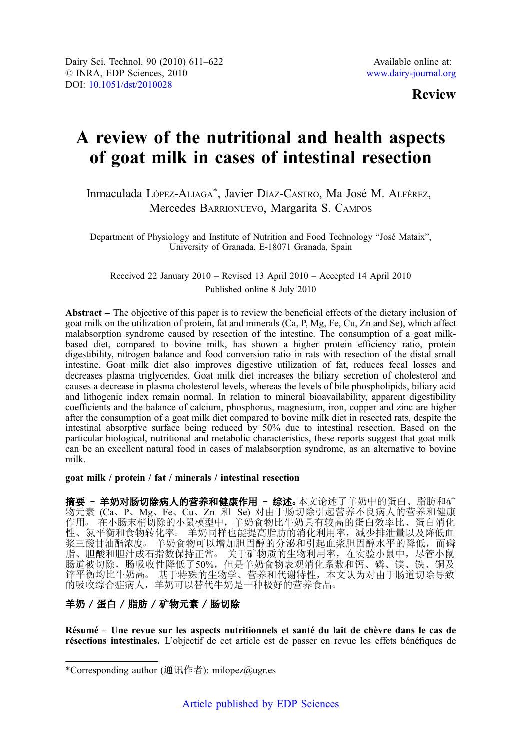## Review

# A review of the nutritional and health aspects of goat milk in cases of intestinal resection

Inmaculada LÓPEZ-ALIAGA\*, Javier DÍAZ-CASTRO, Ma José M. ALFÉREZ, Mercedes BARRIONUEVO, Margarita S. CAMPOS

Department of Physiology and Institute of Nutrition and Food Technology "José Mataix", University of Granada, E-18071 Granada, Spain

Received 22 January 2010 – Revised 13 April 2010 – Accepted 14 April 2010 Published online 8 July 2010

Abstract – The objective of this paper is to review the beneficial effects of the dietary inclusion of goat milk on the utilization of protein, fat and minerals (Ca, P, Mg, Fe, Cu, Zn and Se), which affect malabsorption syndrome caused by resection of the intestine. The consumption of a goat milkbased diet, compared to bovine milk, has shown a higher protein efficiency ratio, protein digestibility, nitrogen balance and food conversion ratio in rats with resection of the distal small intestine. Goat milk diet also improves digestive utilization of fat, reduces fecal losses and decreases plasma triglycerides. Goat milk diet increases the biliary secretion of cholesterol and causes a decrease in plasma cholesterol levels, whereas the levels of bile phospholipids, biliary acid and lithogenic index remain normal. In relation to mineral bioavailability, apparent digestibility coefficients and the balance of calcium, phosphorus, magnesium, iron, copper and zinc are higher after the consumption of a goat milk diet compared to bovine milk diet in resected rats, despite the intestinal absorptive surface being reduced by 50% due to intestinal resection. Based on the particular biological, nutritional and metabolic characteristics, these reports suggest that goat milk can be an excellent natural food in cases of malabsorption syndrome, as an alternative to bovine milk.

goat milk / protein / fat / minerals / intestinal resection

摘要 - 羊奶对肠切除病人的营养和健康作用 - 综述。本文论述了羊奶中的蛋白、脂肪和矿 物元素 (Ca、P、Mg、Fe、Cu、Zn 和 Se) 对由于肠切除引起营养不良病人的营养和健康 作用。在小肠末梢切除的小鼠模型中,羊奶食物比牛奶具有较高的蛋白效率比、蛋白消化 性、氮平衡和食物转化率。 羊奶同样也能提高脂肪的消化利用率,减少排泄量以及降低血 浆三酸甘油酯浓度。 羊奶食物可以增加胆固醇的分泌和引起血浆胆固醇水平的降低,而磷 脂、胆酸和胆汁成石指数保持正常。关于矿物质的生物利用率,在实验小鼠中,尽管小鼠 肠道被切除,肠吸收性降低了50%,但是羊奶食物表观消化系数和钙、磷、镁、铁、铜及 锌平衡均比牛奶高。 基于特殊的生物学、营养和代谢特性, 本文认为对由于肠道切除导致 的吸收综合症病人,羊奶可以替代牛奶是一种极好的营养食品。

## 羊奶 / 蛋白 / 脂肪 / 矿物元素 / 肠切除

Résumé – Une revue sur les aspects nutritionnels et santé du lait de chèvre dans le cas de résections intestinales. L'objectif de cet article est de passer en revue les effets bénéfiques de

<sup>\*</sup>Corresponding author (通讯作者): milopez@ugr.es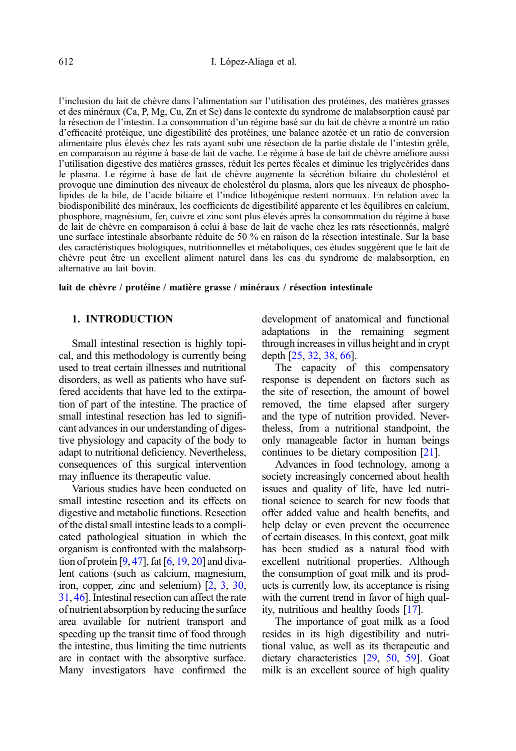l'inclusion du lait de chèvre dans l'alimentation sur l'utilisation des protéines, des matières grasses et des minéraux (Ca, P, Mg, Cu, Zn et Se) dans le contexte du syndrome de malabsorption causé par la résection de l'intestin. La consommation d'un régime basé sur du lait de chèvre a montré un ratio d'efficacité protéique, une digestibilité des protéines, une balance azotée et un ratio de conversion alimentaire plus élevés chez les rats ayant subi une résection de la partie distale de l'intestin grêle, en comparaison au régime à base de lait de vache. Le régime à base de lait de chèvre améliore aussi l'utilisation digestive des matières grasses, réduit les pertes fécales et diminue les triglycérides dans le plasma. Le régime à base de lait de chèvre augmente la sécrétion biliaire du cholestérol et provoque une diminution des niveaux de cholestérol du plasma, alors que les niveaux de phospholipides de la bile, de l'acide biliaire et l'indice lithogénique restent normaux. En relation avec la biodisponibilité des minéraux, les coefficients de digestibilité apparente et les équilibres en calcium, phosphore, magnésium, fer, cuivre et zinc sont plus élevés après la consommation du régime à base de lait de chèvre en comparaison à celui à base de lait de vache chez les rats résectionnés, malgré une surface intestinale absorbante réduite de 50 % en raison de la résection intestinale. Sur la base des caractéristiques biologiques, nutritionnelles et métaboliques, ces études suggèrent que le lait de chèvre peut être un excellent aliment naturel dans les cas du syndrome de malabsorption, en alternative au lait bovin.

#### lait de chèvre / protéine / matière grasse / minéraux / résection intestinale

## 1. INTRODUCTION

Small intestinal resection is highly topical, and this methodology is currently being used to treat certain illnesses and nutritional disorders, as well as patients who have suffered accidents that have led to the extirpation of part of the intestine. The practice of small intestinal resection has led to significant advances in our understanding of digestive physiology and capacity of the body to adapt to nutritional deficiency. Nevertheless, consequences of this surgical intervention may influence its therapeutic value.

Various studies have been conducted on small intestine resection and its effects on digestive and metabolic functions. Resection of the distal small intestine leads to a complicated pathological situation in which the organism is confronted with the malabsorption of protein  $[9, 47]$  $[9, 47]$  $[9, 47]$ , fat  $[6, 19, 20]$  $[6, 19, 20]$  $[6, 19, 20]$  $[6, 19, 20]$  $[6, 19, 20]$  $[6, 19, 20]$  and divalent cations (such as calcium, magnesium, iron, copper, zinc and selenium) [\[2,](#page-8-0) [3,](#page-8-0) [30,](#page-10-0) [31,](#page-10-0) [46\]](#page-10-0). Intestinal resection can affect the rate of nutrient absorption by reducing the surface area available for nutrient transport and speeding up the transit time of food through the intestine, thus limiting the time nutrients are in contact with the absorptive surface. Many investigators have confirmed the development of anatomical and functional adaptations in the remaining segment through increases in villus height and in crypt depth [[25](#page-9-0), [32,](#page-10-0) [38,](#page-10-0) [66](#page-11-0)].

The capacity of this compensatory response is dependent on factors such as the site of resection, the amount of bowel removed, the time elapsed after surgery and the type of nutrition provided. Nevertheless, from a nutritional standpoint, the only manageable factor in human beings continues to be dietary composition [\[21\]](#page-9-0).

Advances in food technology, among a society increasingly concerned about health issues and quality of life, have led nutritional science to search for new foods that offer added value and health benefits, and help delay or even prevent the occurrence of certain diseases. In this context, goat milk has been studied as a natural food with excellent nutritional properties. Although the consumption of goat milk and its products is currently low, its acceptance is rising with the current trend in favor of high quality, nutritious and healthy foods [[17](#page-9-0)].

The importance of goat milk as a food resides in its high digestibility and nutritional value, as well as its therapeutic and dietary characteristics [\[29](#page-9-0), [50,](#page-10-0) [59\]](#page-11-0). Goat milk is an excellent source of high quality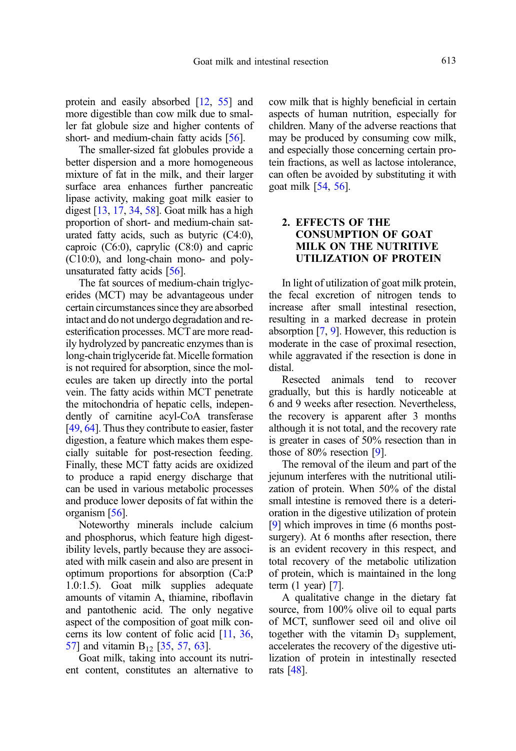protein and easily absorbed [[12](#page-9-0), [55](#page-11-0)] and more digestible than cow milk due to smaller fat globule size and higher contents of short- and medium-chain fatty acids [\[56](#page-11-0)].

The smaller-sized fat globules provide a better dispersion and a more homogeneous mixture of fat in the milk, and their larger surface area enhances further pancreatic lipase activity, making goat milk easier to digest [[13,](#page-9-0) [17](#page-9-0), [34,](#page-10-0) [58](#page-11-0)]. Goat milk has a high proportion of short- and medium-chain saturated fatty acids, such as butyric (C4:0), caproic (C6:0), caprylic (C8:0) and capric (C10:0), and long-chain mono- and polyunsaturated fatty acids [\[56](#page-11-0)].

The fat sources of medium-chain triglycerides (MCT) may be advantageous under certain circumstances since they are absorbed intact and do not undergo degradation and reesterification processes. MCT are more readily hydrolyzed by pancreatic enzymes than is long-chain triglyceride fat.Micelle formation is not required for absorption, since the molecules are taken up directly into the portal vein. The fatty acids within MCT penetrate the mitochondria of hepatic cells, independently of carnitine acyl-CoA transferase [[49](#page-10-0), [64](#page-11-0)]. Thus they contribute to easier, faster digestion, a feature which makes them especially suitable for post-resection feeding. Finally, these MCT fatty acids are oxidized to produce a rapid energy discharge that can be used in various metabolic processes and produce lower deposits of fat within the organism [[56](#page-11-0)].

Noteworthy minerals include calcium and phosphorus, which feature high digestibility levels, partly because they are associated with milk casein and also are present in optimum proportions for absorption (Ca:P 1.0:1.5). Goat milk supplies adequate amounts of vitamin A, thiamine, riboflavin and pantothenic acid. The only negative aspect of the composition of goat milk concerns its low content of folic acid [[11](#page-9-0), [36](#page-10-0), [57](#page-11-0)] and vitamin  $B_{12}$  [\[35](#page-10-0), [57,](#page-11-0) [63\]](#page-11-0).

Goat milk, taking into account its nutrient content, constitutes an alternative to cow milk that is highly beneficial in certain aspects of human nutrition, especially for children. Many of the adverse reactions that may be produced by consuming cow milk, and especially those concerning certain protein fractions, as well as lactose intolerance, can often be avoided by substituting it with goat milk [\[54](#page-11-0), [56\]](#page-11-0).

## 2. EFFECTS OF THE CONSUMPTION OF GOAT MILK ON THE NUTRITIVE UTILIZATION OF PROTEIN

In light of utilization of goat milk protein, the fecal excretion of nitrogen tends to increase after small intestinal resection, resulting in a marked decrease in protein absorption [[7,](#page-8-0) [9](#page-9-0)]. However, this reduction is moderate in the case of proximal resection, while aggravated if the resection is done in distal.

Resected animals tend to recover gradually, but this is hardly noticeable at 6 and 9 weeks after resection. Nevertheless, the recovery is apparent after 3 months although it is not total, and the recovery rate is greater in cases of 50% resection than in those of 80% resection [\[9](#page-9-0)].

The removal of the ileum and part of the jejunum interferes with the nutritional utilization of protein. When 50% of the distal small intestine is removed there is a deterioration in the digestive utilization of protein [[9\]](#page-9-0) which improves in time (6 months postsurgery). At 6 months after resection, there is an evident recovery in this respect, and total recovery of the metabolic utilization of protein, which is maintained in the long term  $(1 \text{ year})$  [[7](#page-8-0)].

A qualitative change in the dietary fat source, from 100% olive oil to equal parts of MCT, sunflower seed oil and olive oil together with the vitamin  $D_3$  supplement, accelerates the recovery of the digestive utilization of protein in intestinally resected rats [[48](#page-10-0)].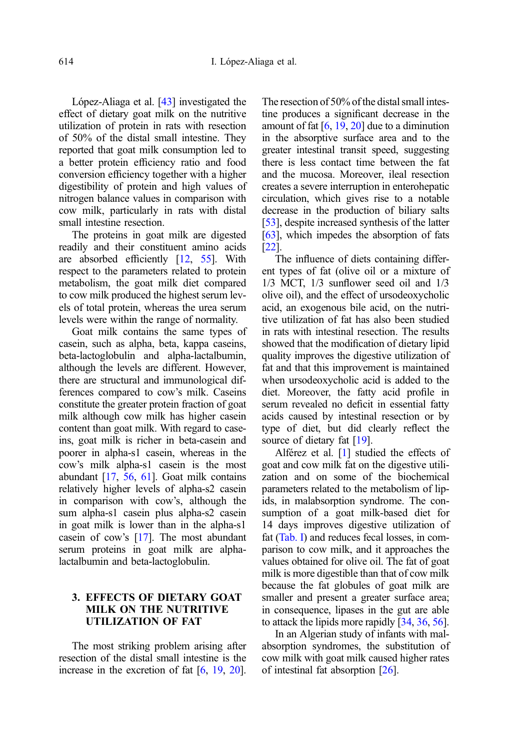López-Aliaga et al. [\[43](#page-10-0)] investigated the effect of dietary goat milk on the nutritive utilization of protein in rats with resection of 50% of the distal small intestine. They reported that goat milk consumption led to a better protein efficiency ratio and food conversion efficiency together with a higher digestibility of protein and high values of nitrogen balance values in comparison with cow milk, particularly in rats with distal small intestine resection.

The proteins in goat milk are digested readily and their constituent amino acids are absorbed efficiently [[12](#page-9-0), [55\]](#page-11-0). With respect to the parameters related to protein metabolism, the goat milk diet compared to cow milk produced the highest serum levels of total protein, whereas the urea serum levels were within the range of normality.

Goat milk contains the same types of casein, such as alpha, beta, kappa caseins, beta-lactoglobulin and alpha-lactalbumin, although the levels are different. However, there are structural and immunological differences compared to cow's milk. Caseins constitute the greater protein fraction of goat milk although cow milk has higher casein content than goat milk. With regard to caseins, goat milk is richer in beta-casein and poorer in alpha-s1 casein, whereas in the cow's milk alpha-s1 casein is the most abundant  $[17, 56, 61]$  $[17, 56, 61]$  $[17, 56, 61]$  $[17, 56, 61]$  $[17, 56, 61]$  $[17, 56, 61]$ . Goat milk contains relatively higher levels of alpha-s2 casein in comparison with cow's, although the sum alpha-s1 casein plus alpha-s2 casein in goat milk is lower than in the alpha-s1 casein of cow's [[17\]](#page-9-0). The most abundant serum proteins in goat milk are alphalactalbumin and beta-lactoglobulin.

## 3. EFFECTS OF DIETARY GOAT MILK ON THE NUTRITIVE UTILIZATION OF FAT

The most striking problem arising after resection of the distal small intestine is the increase in the excretion of fat [[6](#page-8-0), [19](#page-9-0), [20\]](#page-9-0).

The resection of 50% of the distal small intestine produces a significant decrease in the amount of fat  $[6, 19, 20]$  $[6, 19, 20]$  $[6, 19, 20]$  $[6, 19, 20]$  $[6, 19, 20]$  due to a diminution in the absorptive surface area and to the greater intestinal transit speed, suggesting there is less contact time between the fat and the mucosa. Moreover, ileal resection creates a severe interruption in enterohepatic circulation, which gives rise to a notable decrease in the production of biliary salts [[53](#page-11-0)], despite increased synthesis of the latter [[63](#page-11-0)], which impedes the absorption of fats [[22](#page-9-0)].

The influence of diets containing different types of fat (olive oil or a mixture of 1/3 MCT, 1/3 sunflower seed oil and 1/3 olive oil), and the effect of ursodeoxycholic acid, an exogenous bile acid, on the nutritive utilization of fat has also been studied in rats with intestinal resection. The results showed that the modification of dietary lipid quality improves the digestive utilization of fat and that this improvement is maintained when ursodeoxycholic acid is added to the diet. Moreover, the fatty acid profile in serum revealed no deficit in essential fatty acids caused by intestinal resection or by type of diet, but did clearly reflect the source of dietary fat [\[19\]](#page-9-0).

Alférez et al. [\[1\]](#page-8-0) studied the effects of goat and cow milk fat on the digestive utilization and on some of the biochemical parameters related to the metabolism of lipids, in malabsorption syndrome. The consumption of a goat milk-based diet for 14 days improves digestive utilization of fat [\(Tab. I](#page-4-0)) and reduces fecal losses, in comparison to cow milk, and it approaches the values obtained for olive oil. The fat of goat milk is more digestible than that of cow milk because the fat globules of goat milk are smaller and present a greater surface area; in consequence, lipases in the gut are able to attack the lipids more rapidly [[34](#page-10-0), [36,](#page-10-0) [56](#page-11-0)].

In an Algerian study of infants with malabsorption syndromes, the substitution of cow milk with goat milk caused higher rates of intestinal fat absorption [[26](#page-9-0)].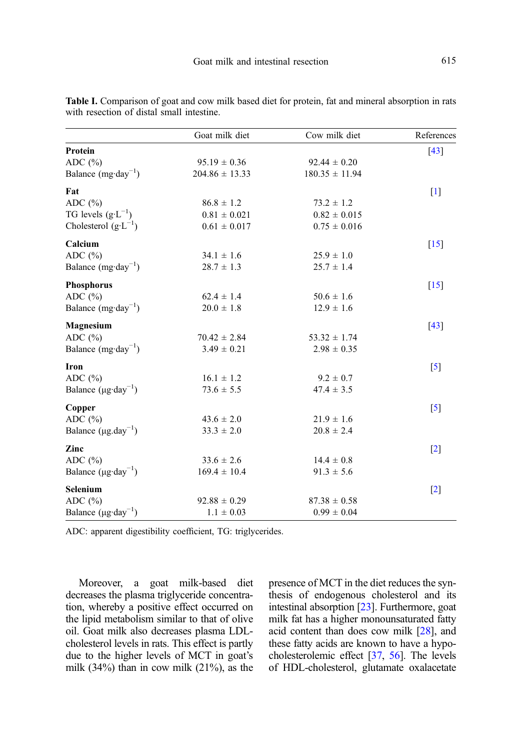|                                         | Goat milk diet     | Cow milk diet      | References         |
|-----------------------------------------|--------------------|--------------------|--------------------|
| Protein                                 |                    |                    | [43]               |
| ADC $(\% )$                             | $95.19 \pm 0.36$   | $92.44 \pm 0.20$   |                    |
| Balance $(mg \cdot day^{-1})$           | $204.86 \pm 13.33$ | $180.35 \pm 11.94$ |                    |
| Fat                                     |                    |                    | $[1]$              |
| ADC $(\% )$                             | $86.8 \pm 1.2$     | $73.2 \pm 1.2$     |                    |
| TG levels $(g \cdot L^{-1})$            | $0.81 \pm 0.021$   | $0.82 \pm 0.015$   |                    |
| Cholesterol $(g \cdot L^{-1})$          | $0.61 \pm 0.017$   | $0.75 \pm 0.016$   |                    |
| Calcium                                 |                    |                    | $\lceil 15 \rceil$ |
| ADC $(\% )$                             | $34.1 \pm 1.6$     | $25.9 \pm 1.0$     |                    |
| Balance $(mg \cdot day^{-1})$           | $28.7 \pm 1.3$     | $25.7 \pm 1.4$     |                    |
| Phosphorus                              |                    |                    | $[15]$             |
| ADC $(\% )$                             | $62.4 \pm 1.4$     | $50.6 \pm 1.6$     |                    |
| Balance $(mg \cdot day^{-1})$           | $20.0 \pm 1.8$     | $12.9 \pm 1.6$     |                    |
| <b>Magnesium</b>                        |                    |                    | [43]               |
| ADC $(\% )$                             | $70.42 \pm 2.84$   | $53.32 \pm 1.74$   |                    |
| Balance $(mg \cdot day^{-1})$           | $3.49 \pm 0.21$    | $2.98 \pm 0.35$    |                    |
| Iron                                    |                    |                    | $[5]$              |
| ADC $(\% )$                             | $16.1 \pm 1.2$     | $9.2 \pm 0.7$      |                    |
| Balance $(\mu g \cdot \text{day}^{-1})$ | $73.6 \pm 5.5$     | $47.4 \pm 3.5$     |                    |
| Copper                                  |                    |                    | $^{[5]}$           |
| ADC $(\% )$                             | $43.6 \pm 2.0$     | $21.9 \pm 1.6$     |                    |
| Balance $(\mu g.day^{-1})$              | $33.3 \pm 2.0$     | $20.8 \pm 2.4$     |                    |
| Zinc                                    |                    |                    | $[2]$              |
| ADC $(\% )$                             | $33.6 \pm 2.6$     | $14.4 \pm 0.8$     |                    |
| Balance $(\mu g \cdot day^{-1})$        | $169.4 \pm 10.4$   | $91.3 \pm 5.6$     |                    |
| Selenium                                |                    |                    | $[2]$              |
| ADC $(\% )$                             | $92.88 \pm 0.29$   | $87.38 \pm 0.58$   |                    |
| Balance $(\mu g \cdot day^{-1})$        | $1.1 \pm 0.03$     | $0.99 \pm 0.04$    |                    |

<span id="page-4-0"></span>Table I. Comparison of goat and cow milk based diet for protein, fat and mineral absorption in rats with resection of distal small intestine.

ADC: apparent digestibility coefficient, TG: triglycerides.

Moreover, a goat milk-based diet decreases the plasma triglyceride concentration, whereby a positive effect occurred on the lipid metabolism similar to that of olive oil. Goat milk also decreases plasma LDLcholesterol levels in rats. This effect is partly due to the higher levels of MCT in goat's milk (34%) than in cow milk (21%), as the presence of MCT in the diet reduces the synthesis of endogenous cholesterol and its intestinal absorption [\[23\]](#page-9-0). Furthermore, goat milk fat has a higher monounsaturated fatty acid content than does cow milk [\[28\]](#page-9-0), and these fatty acids are known to have a hypocholesterolemic effect [[37,](#page-10-0) [56\]](#page-11-0). The levels of HDL-cholesterol, glutamate oxalacetate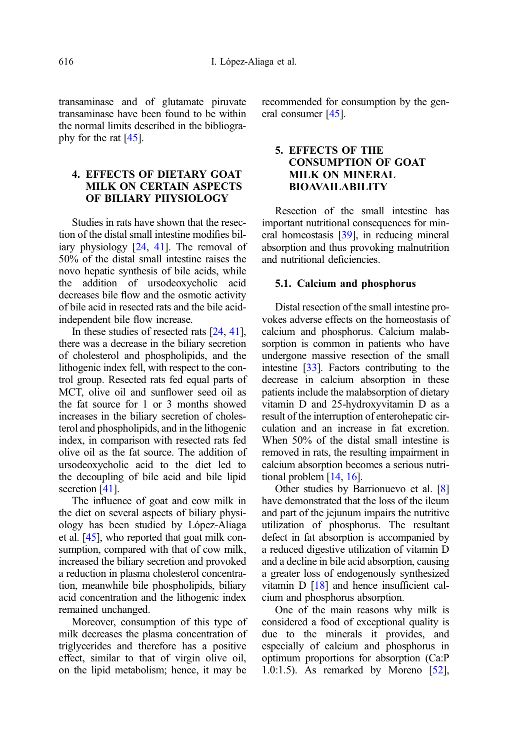transaminase and of glutamate piruvate transaminase have been found to be within the normal limits described in the bibliography for the rat [\[45](#page-10-0)].

#### 4. EFFECTS OF DIETARY GOAT MILK ON CERTAIN ASPECTS OF BILIARY PHYSIOLOGY

Studies in rats have shown that the resection of the distal small intestine modifies biliary physiology [\[24,](#page-9-0) [41\]](#page-10-0). The removal of 50% of the distal small intestine raises the novo hepatic synthesis of bile acids, while the addition of ursodeoxycholic acid decreases bile flow and the osmotic activity of bile acid in resected rats and the bile acidindependent bile flow increase.

In these studies of resected rats [\[24,](#page-9-0) [41\]](#page-10-0), there was a decrease in the biliary secretion of cholesterol and phospholipids, and the lithogenic index fell, with respect to the control group. Resected rats fed equal parts of MCT, olive oil and sunflower seed oil as the fat source for 1 or 3 months showed increases in the biliary secretion of cholesterol and phospholipids, and in the lithogenic index, in comparison with resected rats fed olive oil as the fat source. The addition of ursodeoxycholic acid to the diet led to the decoupling of bile acid and bile lipid secretion [\[41](#page-10-0)].

The influence of goat and cow milk in the diet on several aspects of biliary physiology has been studied by López-Aliaga et al. [[45\]](#page-10-0), who reported that goat milk consumption, compared with that of cow milk, increased the biliary secretion and provoked a reduction in plasma cholesterol concentration, meanwhile bile phospholipids, biliary acid concentration and the lithogenic index remained unchanged.

Moreover, consumption of this type of milk decreases the plasma concentration of triglycerides and therefore has a positive effect, similar to that of virgin olive oil, on the lipid metabolism; hence, it may be

recommended for consumption by the general consumer [[45](#page-10-0)].

## 5. EFFECTS OF THE CONSUMPTION OF GOAT MILK ON MINERAL BIOAVAILABILITY

Resection of the small intestine has important nutritional consequences for mineral homeostasis [[39\]](#page-10-0), in reducing mineral absorption and thus provoking malnutrition and nutritional deficiencies.

#### 5.1. Calcium and phosphorus

Distal resection of the small intestine provokes adverse effects on the homeostasis of calcium and phosphorus. Calcium malabsorption is common in patients who have undergone massive resection of the small intestine [\[33\]](#page-10-0). Factors contributing to the decrease in calcium absorption in these patients include the malabsorption of dietary vitamin D and 25-hydroxyvitamin D as a result of the interruption of enterohepatic circulation and an increase in fat excretion. When 50% of the distal small intestine is removed in rats, the resulting impairment in calcium absorption becomes a serious nutritional problem [\[14](#page-9-0), [16\]](#page-9-0).

Other studies by Barrionuevo et al. [[8](#page-9-0)] have demonstrated that the loss of the ileum and part of the jejunum impairs the nutritive utilization of phosphorus. The resultant defect in fat absorption is accompanied by a reduced digestive utilization of vitamin D and a decline in bile acid absorption, causing a greater loss of endogenously synthesized vitamin D [\[18\]](#page-9-0) and hence insufficient calcium and phosphorus absorption.

One of the main reasons why milk is considered a food of exceptional quality is due to the minerals it provides, and especially of calcium and phosphorus in optimum proportions for absorption (Ca:P 1.0:1.5). As remarked by Moreno [\[52](#page-11-0)],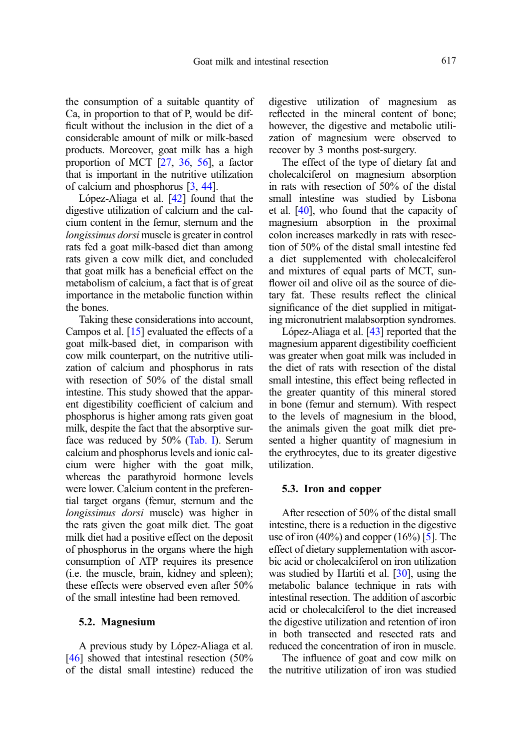the consumption of a suitable quantity of Ca, in proportion to that of P, would be difficult without the inclusion in the diet of a considerable amount of milk or milk-based products. Moreover, goat milk has a high proportion of MCT [[27](#page-9-0), [36](#page-10-0), [56\]](#page-11-0), a factor that is important in the nutritive utilization of calcium and phosphorus [\[3](#page-8-0), [44\]](#page-10-0).

López-Aliaga et al. [[42](#page-10-0)] found that the digestive utilization of calcium and the calcium content in the femur, sternum and the longissimus dorsi muscle is greater in control rats fed a goat milk-based diet than among rats given a cow milk diet, and concluded that goat milk has a beneficial effect on the metabolism of calcium, a fact that is of great importance in the metabolic function within the bones.

Taking these considerations into account, Campos et al. [\[15\]](#page-9-0) evaluated the effects of a goat milk-based diet, in comparison with cow milk counterpart, on the nutritive utilization of calcium and phosphorus in rats with resection of 50% of the distal small intestine. This study showed that the apparent digestibility coefficient of calcium and phosphorus is higher among rats given goat milk, despite the fact that the absorptive surface was reduced by 50% [\(Tab. I\)](#page-4-0). Serum calcium and phosphorus levels and ionic calcium were higher with the goat milk, whereas the parathyroid hormone levels were lower. Calcium content in the preferential target organs (femur, sternum and the longissimus dorsi muscle) was higher in the rats given the goat milk diet. The goat milk diet had a positive effect on the deposit of phosphorus in the organs where the high consumption of ATP requires its presence (i.e. the muscle, brain, kidney and spleen); these effects were observed even after 50% of the small intestine had been removed.

#### 5.2. Magnesium

A previous study by López-Aliaga et al. [[46](#page-10-0)] showed that intestinal resection (50%) of the distal small intestine) reduced the digestive utilization of magnesium as reflected in the mineral content of bone; however, the digestive and metabolic utilization of magnesium were observed to recover by 3 months post-surgery.

The effect of the type of dietary fat and cholecalciferol on magnesium absorption in rats with resection of 50% of the distal small intestine was studied by Lisbona et al. [[40](#page-10-0)], who found that the capacity of magnesium absorption in the proximal colon increases markedly in rats with resection of 50% of the distal small intestine fed a diet supplemented with cholecalciferol and mixtures of equal parts of MCT, sunflower oil and olive oil as the source of dietary fat. These results reflect the clinical significance of the diet supplied in mitigating micronutrient malabsorption syndromes.

López-Aliaga et al. [\[43](#page-10-0)] reported that the magnesium apparent digestibility coefficient was greater when goat milk was included in the diet of rats with resection of the distal small intestine, this effect being reflected in the greater quantity of this mineral stored in bone (femur and sternum). With respect to the levels of magnesium in the blood, the animals given the goat milk diet presented a higher quantity of magnesium in the erythrocytes, due to its greater digestive utilization.

#### 5.3. Iron and copper

After resection of 50% of the distal small intestine, there is a reduction in the digestive use of iron  $(40\%)$  and copper  $(16\%)$  [\[5](#page-8-0)]. The effect of dietary supplementation with ascorbic acid or cholecalciferol on iron utilization was studied by Hartiti et al. [\[30](#page-10-0)], using the metabolic balance technique in rats with intestinal resection. The addition of ascorbic acid or cholecalciferol to the diet increased the digestive utilization and retention of iron in both transected and resected rats and reduced the concentration of iron in muscle.

The influence of goat and cow milk on the nutritive utilization of iron was studied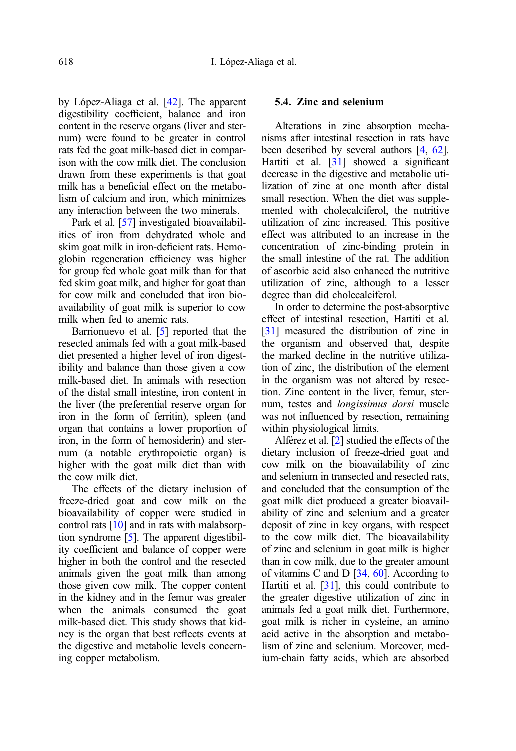by López-Aliaga et al. [[42](#page-10-0)]. The apparent digestibility coefficient, balance and iron content in the reserve organs (liver and sternum) were found to be greater in control rats fed the goat milk-based diet in comparison with the cow milk diet. The conclusion drawn from these experiments is that goat milk has a beneficial effect on the metabolism of calcium and iron, which minimizes any interaction between the two minerals.

Park et al. [[57](#page-11-0)] investigated bioavailabilities of iron from dehydrated whole and skim goat milk in iron-deficient rats. Hemoglobin regeneration efficiency was higher for group fed whole goat milk than for that fed skim goat milk, and higher for goat than for cow milk and concluded that iron bioavailability of goat milk is superior to cow milk when fed to anemic rats.

Barrionuevo et al. [\[5\]](#page-8-0) reported that the resected animals fed with a goat milk-based diet presented a higher level of iron digestibility and balance than those given a cow milk-based diet. In animals with resection of the distal small intestine, iron content in the liver (the preferential reserve organ for iron in the form of ferritin), spleen (and organ that contains a lower proportion of iron, in the form of hemosiderin) and sternum (a notable erythropoietic organ) is higher with the goat milk diet than with the cow milk diet.

The effects of the dietary inclusion of freeze-dried goat and cow milk on the bioavailability of copper were studied in control rats [\[10\]](#page-9-0) and in rats with malabsorption syndrome [\[5](#page-8-0)]. The apparent digestibility coefficient and balance of copper were higher in both the control and the resected animals given the goat milk than among those given cow milk. The copper content in the kidney and in the femur was greater when the animals consumed the goat milk-based diet. This study shows that kidney is the organ that best reflects events at the digestive and metabolic levels concerning copper metabolism.

#### 5.4. Zinc and selenium

Alterations in zinc absorption mechanisms after intestinal resection in rats have been described by several authors [\[4,](#page-8-0) [62](#page-11-0)]. Hartiti et al. [\[31\]](#page-10-0) showed a significant decrease in the digestive and metabolic utilization of zinc at one month after distal small resection. When the diet was supplemented with cholecalciferol, the nutritive utilization of zinc increased. This positive effect was attributed to an increase in the concentration of zinc-binding protein in the small intestine of the rat. The addition of ascorbic acid also enhanced the nutritive utilization of zinc, although to a lesser degree than did cholecalciferol.

In order to determine the post-absorptive effect of intestinal resection, Hartiti et al. [[31](#page-10-0)] measured the distribution of zinc in the organism and observed that, despite the marked decline in the nutritive utilization of zinc, the distribution of the element in the organism was not altered by resection. Zinc content in the liver, femur, sternum, testes and longissimus dorsi muscle was not influenced by resection, remaining within physiological limits.

Alférez et al. [\[2\]](#page-8-0) studied the effects of the dietary inclusion of freeze-dried goat and cow milk on the bioavailability of zinc and selenium in transected and resected rats, and concluded that the consumption of the goat milk diet produced a greater bioavailability of zinc and selenium and a greater deposit of zinc in key organs, with respect to the cow milk diet. The bioavailability of zinc and selenium in goat milk is higher than in cow milk, due to the greater amount of vitamins C and D  $[34, 60]$  $[34, 60]$  $[34, 60]$  $[34, 60]$  $[34, 60]$ . According to Hartiti et al. [\[31\]](#page-10-0), this could contribute to the greater digestive utilization of zinc in animals fed a goat milk diet. Furthermore, goat milk is richer in cysteine, an amino acid active in the absorption and metabolism of zinc and selenium. Moreover, medium-chain fatty acids, which are absorbed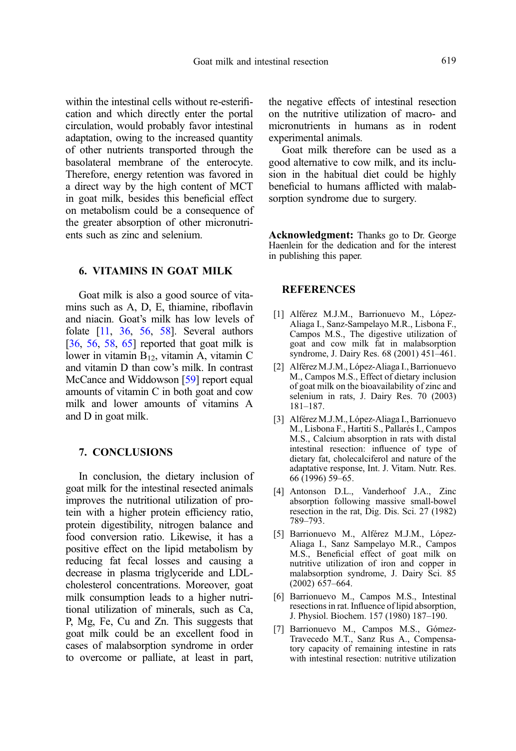<span id="page-8-0"></span>within the intestinal cells without re-esterification and which directly enter the portal circulation, would probably favor intestinal adaptation, owing to the increased quantity of other nutrients transported through the basolateral membrane of the enterocyte. Therefore, energy retention was favored in a direct way by the high content of MCT in goat milk, besides this beneficial effect on metabolism could be a consequence of the greater absorption of other micronutrients such as zinc and selenium.

#### 6. VITAMINS IN GOAT MILK

Goat milk is also a good source of vitamins such as A, D, E, thiamine, riboflavin and niacin. Goat's milk has low levels of folate [\[11,](#page-9-0) [36](#page-10-0), [56](#page-11-0), [58\]](#page-11-0). Several authors  $[36, 56, 58, 65]$  $[36, 56, 58, 65]$  $[36, 56, 58, 65]$  $[36, 56, 58, 65]$  $[36, 56, 58, 65]$  $[36, 56, 58, 65]$  $[36, 56, 58, 65]$  $[36, 56, 58, 65]$  $[36, 56, 58, 65]$  reported that goat milk is lower in vitamin  $B_{12}$ , vitamin A, vitamin C and vitamin D than cow's milk. In contrast McCance and Widdowson [\[59\]](#page-11-0) report equal amounts of vitamin C in both goat and cow milk and lower amounts of vitamins A and D in goat milk.

#### 7. CONCLUSIONS

In conclusion, the dietary inclusion of goat milk for the intestinal resected animals improves the nutritional utilization of protein with a higher protein efficiency ratio, protein digestibility, nitrogen balance and food conversion ratio. Likewise, it has a positive effect on the lipid metabolism by reducing fat fecal losses and causing a decrease in plasma triglyceride and LDLcholesterol concentrations. Moreover, goat milk consumption leads to a higher nutritional utilization of minerals, such as Ca, P, Mg, Fe, Cu and Zn. This suggests that goat milk could be an excellent food in cases of malabsorption syndrome in order to overcome or palliate, at least in part,

the negative effects of intestinal resection on the nutritive utilization of macro- and micronutrients in humans as in rodent experimental animals.

Goat milk therefore can be used as a good alternative to cow milk, and its inclusion in the habitual diet could be highly beneficial to humans afflicted with malabsorption syndrome due to surgery.

Acknowledgment: Thanks go to Dr. George Haenlein for the dedication and for the interest in publishing this paper.

#### **REFERENCES**

- [1] Alférez M.J.M., Barrionuevo M., López-Aliaga I., Sanz-Sampelayo M.R., Lisbona F., Campos M.S., The digestive utilization of goat and cow milk fat in malabsorption syndrome, J. Dairy Res. 68 (2001) 451–461.
- [2] Alférez M.J.M., López-Aliaga I., Barrionuevo M., Campos M.S., Effect of dietary inclusion of goat milk on the bioavailability of zinc and selenium in rats, J. Dairy Res. 70 (2003) 181–187.
- [3] Alférez M.J.M., López-Aliaga I., Barrionuevo M., Lisbona F., Hartiti S., Pallarés I., Campos M.S., Calcium absorption in rats with distal intestinal resection: influence of type of dietary fat, cholecalciferol and nature of the adaptative response, Int. J. Vitam. Nutr. Res. 66 (1996) 59–65.
- [4] Antonson D.L., Vanderhoof J.A., Zinc absorption following massive small-bowel resection in the rat, Dig. Dis. Sci. 27 (1982) 789–793.
- [5] Barrionuevo M., Alférez M.J.M., López-Aliaga I., Sanz Sampelayo M.R., Campos M.S., Beneficial effect of goat milk on nutritive utilization of iron and copper in malabsorption syndrome, J. Dairy Sci. 85 (2002) 657–664.
- [6] Barrionuevo M., Campos M.S., Intestinal resections in rat. Influence of lipid absorption, J. Physiol. Biochem. 157 (1980) 187–190.
- [7] Barrionuevo M., Campos M.S., Gómez-Travecedo M.T., Sanz Rus A., Compensatory capacity of remaining intestine in rats with intestinal resection: nutritive utilization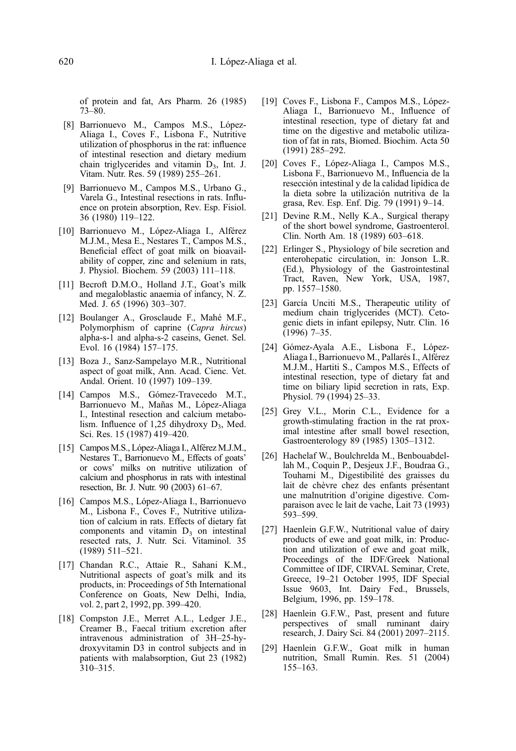<span id="page-9-0"></span>of protein and fat, Ars Pharm. 26 (1985) 73–80.

- [8] Barrionuevo M., Campos M.S., López-Aliaga I., Coves F., Lisbona F., Nutritive utilization of phosphorus in the rat: influence of intestinal resection and dietary medium chain triglycerides and vitamin  $D_3$ , Int. J. Vitam. Nutr. Res. 59 (1989) 255–261.
- [9] Barrionuevo M., Campos M.S., Urbano G., Varela G., Intestinal resections in rats. Influence on protein absorption, Rev. Esp. Fisiol. 36 (1980) 119–122.
- [10] Barrionuevo M., López-Aliaga I., Alférez M.J.M., Mesa E., Nestares T., Campos M.S., Beneficial effect of goat milk on bioavailability of copper, zinc and selenium in rats, J. Physiol. Biochem. 59 (2003) 111–118.
- [11] Becroft D.M.O., Holland J.T., Goat's milk and megaloblastic anaemia of infancy, N. Z. Med. J. 65 (1996) 303–307.
- [12] Boulanger A., Grosclaude F., Mahé M.F., Polymorphism of caprine (Capra hircus) alpha-s-1 and alpha-s-2 caseins, Genet. Sel. Evol. 16 (1984) 157–175.
- [13] Boza J., Sanz-Sampelayo M.R., Nutritional aspect of goat milk, Ann. Acad. Cienc. Vet. Andal. Orient. 10 (1997) 109–139.
- [14] Campos M.S., Gómez-Travecedo M.T., Barrionuevo M., Mañas M., López-Aliaga I., Intestinal resection and calcium metabolism. Influence of  $1,25$  dihydroxy  $D_3$ , Med. Sci. Res. 15 (1987) 419–420.
- [15] Campos M.S., López-Aliaga I., Alférez M.J.M., Nestares T., Barrionuevo M., Effects of goats' or cows' milks on nutritive utilization of calcium and phosphorus in rats with intestinal resection, Br. J. Nutr. 90 (2003) 61–67.
- [16] Campos M.S., López-Aliaga I., Barrionuevo M., Lisbona F., Coves F., Nutritive utilization of calcium in rats. Effects of dietary fat components and vitamin  $D_3$  on intestinal resected rats, J. Nutr. Sci. Vitaminol. 35 (1989) 511–521.
- [17] Chandan R.C., Attaie R., Sahani K.M., Nutritional aspects of goat's milk and its products, in: Proceedings of 5th International Conference on Goats, New Delhi, India, vol. 2, part 2, 1992, pp. 399–420.
- [18] Compston J.E., Merret A.L., Ledger J.E., Creamer B., Faecal tritium excretion after intravenous administration of 3H–25-hydroxyvitamin D3 in control subjects and in patients with malabsorption, Gut 23 (1982) 310–315.
- [19] Coves F., Lisbona F., Campos M.S., López-Aliaga I., Barrionuevo M., Influence of intestinal resection, type of dietary fat and time on the digestive and metabolic utilization of fat in rats, Biomed. Biochim. Acta 50 (1991) 285–292.
- [20] Coves F., López-Aliaga I., Campos M.S., Lisbona F., Barrionuevo M., Influencia de la resección intestinal y de la calidad lipídica de la dieta sobre la utilización nutritiva de la grasa, Rev. Esp. Enf. Dig. 79 (1991) 9–14.
- [21] Devine R.M., Nelly K.A., Surgical therapy of the short bowel syndrome, Gastroenterol. Clin. North Am. 18 (1989) 603–618.
- [22] Erlinger S., Physiology of bile secretion and enterohepatic circulation, in: Jonson L.R. (Ed.), Physiology of the Gastrointestinal Tract, Raven, New York, USA, 1987, pp. 1557–1580.
- [23] García Unciti M.S., Therapeutic utility of medium chain triglycerides (MCT). Cetogenic diets in infant epilepsy, Nutr. Clin. 16 (1996) 7–35.
- [24] Gómez-Ayala A.E., Lisbona F., López-Aliaga I., Barrionuevo M., Pallarés I., Alférez M.J.M., Hartiti S., Campos M.S., Effects of intestinal resection, type of dietary fat and time on biliary lipid secretion in rats, Exp. Physiol. 79 (1994) 25–33.
- [25] Grey V.L., Morin C.L., Evidence for a growth-stimulating fraction in the rat proximal intestine after small bowel resection, Gastroenterology 89 (1985) 1305–1312.
- [26] Hachelaf W., Boulchrelda M., Benbouabdellah M., Coquin P., Desjeux J.F., Boudraa G., Touhami M., Digestibilité des graisses du lait de chèvre chez des enfants présentant une malnutrition d'origine digestive. Comparaison avec le lait de vache, Lait 73 (1993) 593–599.
- [27] Haenlein G.F.W., Nutritional value of dairy products of ewe and goat milk, in: Production and utilization of ewe and goat milk, Proceedings of the IDF/Greek National Committee of IDF, CIRVAL Seminar, Crete, Greece, 19–21 October 1995, IDF Special Issue 9603, Int. Dairy Fed., Brussels, Belgium, 1996, pp. 159–178.
- [28] Haenlein G.F.W., Past, present and future perspectives of small ruminant dairy research, J. Dairy Sci. 84 (2001) 2097–2115.
- [29] Haenlein G.F.W., Goat milk in human nutrition, Small Rumin. Res. 51 (2004) 155–163.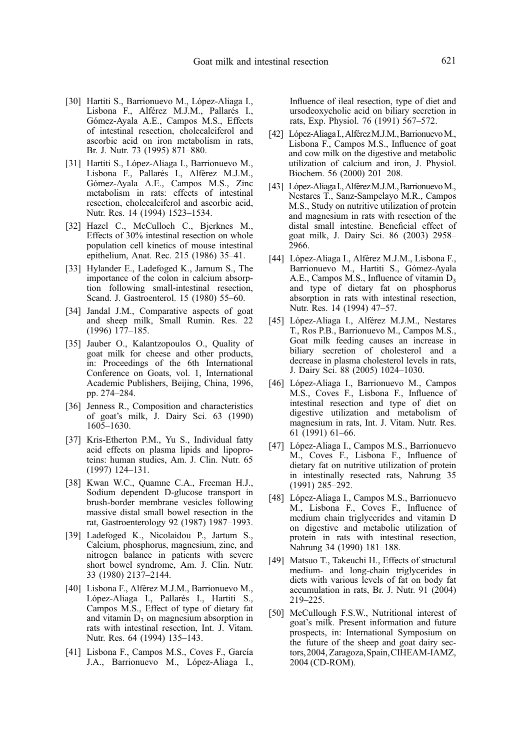- <span id="page-10-0"></span>[30] Hartiti S., Barrionuevo M., López-Aliaga I., Lisbona F., Alférez M.J.M., Pallarés I., Gómez-Ayala A.E., Campos M.S., Effects of intestinal resection, cholecalciferol and ascorbic acid on iron metabolism in rats, Br. J. Nutr. 73 (1995) 871–880.
- [31] Hartiti S., López-Aliaga I., Barrionuevo M., Lisbona F., Pallarés I., Alférez M.J.M., Gómez-Ayala A.E., Campos M.S., Zinc metabolism in rats: effects of intestinal resection, cholecalciferol and ascorbic acid, Nutr. Res. 14 (1994) 1523–1534.
- [32] Hazel C., McCulloch C., Bjerknes M., Effects of 30% intestinal resection on whole population cell kinetics of mouse intestinal epithelium, Anat. Rec. 215 (1986) 35–41.
- [33] Hylander E., Ladefoged K., Jarnum S., The importance of the colon in calcium absorption following small-intestinal resection, Scand. J. Gastroenterol. 15 (1980) 55–60.
- [34] Jandal J.M., Comparative aspects of goat and sheep milk, Small Rumin. Res. 22 (1996) 177–185.
- [35] Jauber O., Kalantzopoulos O., Quality of goat milk for cheese and other products, in: Proceedings of the 6th International Conference on Goats, vol. 1, International Academic Publishers, Beijing, China, 1996, pp. 274–284.
- [36] Jenness R., Composition and characteristics of goat's milk, J. Dairy Sci. 63 (1990) 1605–1630.
- [37] Kris-Etherton P.M., Yu S., Individual fatty acid effects on plasma lipids and lipoproteins: human studies, Am. J. Clin. Nutr. 65 (1997) 124–131.
- [38] Kwan W.C., Quamne C.A., Freeman H.J., Sodium dependent D-glucose transport in brush-border membrane vesicles following massive distal small bowel resection in the rat, Gastroenterology 92 (1987) 1987–1993.
- [39] Ladefoged K., Nicolaidou P., Jartum S., Calcium, phosphorus, magnesium, zinc, and nitrogen balance in patients with severe short bowel syndrome, Am. J. Clin. Nutr. 33 (1980) 2137–2144.
- [40] Lisbona F., Alférez M.J.M., Barrionuevo M., López-Aliaga I., Pallarés I., Hartiti S., Campos M.S., Effect of type of dietary fat and vitamin  $D_3$  on magnesium absorption in rats with intestinal resection, Int. J. Vitam. Nutr. Res. 64 (1994) 135–143.
- [41] Lisbona F., Campos M.S., Coves F., García J.A., Barrionuevo M., López-Aliaga I.,

Influence of ileal resection, type of diet and ursodeoxycholic acid on biliary secretion in rats, Exp. Physiol. 76 (1991) 567–572.

- [42] López-Aliaga I., Alférez M.J.M., Barrionuevo M., Lisbona F., Campos M.S., Influence of goat and cow milk on the digestive and metabolic utilization of calcium and iron, J. Physiol. Biochem. 56 (2000) 201–208.
- [43] López-Aliaga I., Alférez M.J.M., Barrionuevo M., Nestares T., Sanz-Sampelayo M.R., Campos M.S., Study on nutritive utilization of protein and magnesium in rats with resection of the distal small intestine. Beneficial effect of goat milk, J. Dairy Sci. 86 (2003) 2958– 2966.
- [44] López-Aliaga I., Alférez M.J.M., Lisbona F., Barrionuevo M., Hartiti S., Gómez-Ayala A.E., Campos M.S., Influence of vitamin  $D_3$ and type of dietary fat on phosphorus absorption in rats with intestinal resection, Nutr. Res. 14 (1994) 47–57.
- [45] López-Aliaga I., Alférez M.J.M., Nestares T., Ros P.B., Barrionuevo M., Campos M.S., Goat milk feeding causes an increase in biliary secretion of cholesterol and a decrease in plasma cholesterol levels in rats, J. Dairy Sci. 88 (2005) 1024–1030.
- [46] López-Aliaga I., Barrionuevo M., Campos M.S., Coves F., Lisbona F., Influence of intestinal resection and type of diet on digestive utilization and metabolism of magnesium in rats, Int. J. Vitam. Nutr. Res. 61 (1991) 61–66.
- [47] López-Aliaga I., Campos M.S., Barrionuevo M., Coves F., Lisbona F., Influence of dietary fat on nutritive utilization of protein in intestinally resected rats, Nahrung 35 (1991) 285–292.
- [48] López-Aliaga I., Campos M.S., Barrionuevo M., Lisbona F., Coves F., Influence of medium chain triglycerides and vitamin D on digestive and metabolic utilization of protein in rats with intestinal resection, Nahrung 34 (1990) 181–188.
- [49] Matsuo T., Takeuchi H., Effects of structural medium- and long-chain triglycerides in diets with various levels of fat on body fat accumulation in rats, Br. J. Nutr. 91 (2004) 219–225.
- [50] McCullough F.S.W., Nutritional interest of goat's milk. Present information and future prospects, in: International Symposium on the future of the sheep and goat dairy sectors,2004, Zaragoza,Spain,CIHEAM-IAMZ, 2004 (CD-ROM).